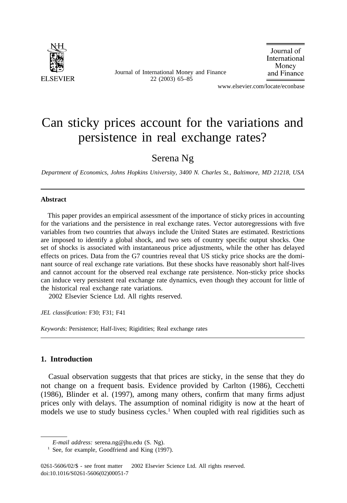

Journal of International Money and Finance 22 (2003) 65–85

Journal of International Money and Finance

www.elsevier.com/locate/econbase

## Can sticky prices account for the variations and persistence in real exchange rates?

### Serena Ng

*Department of Economics, Johns Hopkins University, 3400 N. Charles St., Baltimore, MD 21218, USA*

#### **Abstract**

This paper provides an empirical assessment of the importance of sticky prices in accounting for the variations and the persistence in real exchange rates. Vector autoregressions with five variables from two countries that always include the United States are estimated. Restrictions are imposed to identify a global shock, and two sets of country specific output shocks. One set of shocks is associated with instantaneous price adjustments, while the other has delayed effects on prices. Data from the G7 countries reveal that US sticky price shocks are the dominant source of real exchange rate variations. But these shocks have reasonably short half-lives and cannot account for the observed real exchange rate persistence. Non-sticky price shocks can induce very persistent real exchange rate dynamics, even though they account for little of the historical real exchange rate variations.

2002 Elsevier Science Ltd. All rights reserved.

*JEL classification:* F30; F31; F41

*Keywords:* Persistence; Half-lives; Rigidities; Real exchange rates

### **1. Introduction**

Casual observation suggests that that prices are sticky, in the sense that they do not change on a frequent basis. Evidence provided by Carlton (1986), Cecchetti (1986), Blinder et al. (1997), among many others, confirm that many firms adjust prices only with delays. The assumption of nominal ridigity is now at the heart of models we use to study business cycles.<sup>1</sup> When coupled with real rigidities such as

*E-mail address:* serena.ng@jhu.edu (S. Ng).

<sup>&</sup>lt;sup>1</sup> See, for example, Goodfriend and King (1997).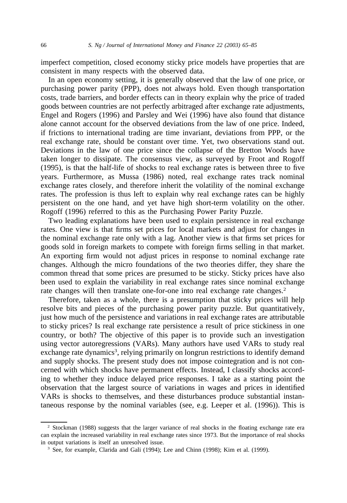imperfect competition, closed economy sticky price models have properties that are consistent in many respects with the observed data.

In an open economy setting, it is generally observed that the law of one price, or purchasing power parity (PPP), does not always hold. Even though transportation costs, trade barriers, and border effects can in theory explain why the price of traded goods between countries are not perfectly arbitraged after exchange rate adjustments, Engel and Rogers (1996) and Parsley and Wei (1996) have also found that distance alone cannot account for the observed deviations from the law of one price. Indeed, if frictions to international trading are time invariant, deviations from PPP, or the real exchange rate, should be constant over time. Yet, two observations stand out. Deviations in the law of one price since the collapse of the Bretton Woods have taken longer to dissipate. The consensus view, as surveyed by Froot and Rogoff (1995), is that the half-life of shocks to real exchange rates is between three to five years. Furthermore, as Mussa (1986) noted, real exchange rates track nominal exchange rates closely, and therefore inherit the volatility of the nominal exchange rates. The profession is thus left to explain why real exchange rates can be highly persistent on the one hand, and yet have high short-term volatility on the other. Rogoff (1996) referred to this as the Purchasing Power Parity Puzzle.

Two leading explanations have been used to explain persistence in real exchange rates. One view is that firms set prices for local markets and adjust for changes in the nominal exchange rate only with a lag. Another view is that firms set prices for goods sold in foreign markets to compete with foreign firms selling in that market. An exporting firm would not adjust prices in response to nominal exchange rate changes. Although the micro foundations of the two theories differ, they share the common thread that some prices are presumed to be sticky. Sticky prices have also been used to explain the variability in real exchange rates since nominal exchange rate changes will then translate one-for-one into real exchange rate changes.<sup>2</sup>

Therefore, taken as a whole, there is a presumption that sticky prices will help resolve bits and pieces of the purchasing power parity puzzle. But quantitatively, just how much of the persistence and variations in real exchange rates are attributable to sticky prices? Is real exchange rate persistence a result of price stickiness in one country, or both? The objective of this paper is to provide such an investigation using vector autoregressions (VARs). Many authors have used VARs to study real exchange rate dynamics<sup>3</sup>, relying primarily on longrun restrictions to identify demand and supply shocks. The present study does not impose cointegration and is not concerned with which shocks have permanent effects. Instead, I classify shocks according to whether they induce delayed price responses. I take as a starting point the observation that the largest source of variations in wages and prices in identified VARs is shocks to themselves, and these disturbances produce substantial instantaneous response by the nominal variables (see, e.g. Leeper et al. (1996)). This is

<sup>2</sup> Stockman (1988) suggests that the larger variance of real shocks in the floating exchange rate era can explain the increased variability in real exchange rates since 1973. But the importance of real shocks in output variations is itself an unresolved issue.

<sup>3</sup> See, for example, Clarida and Gali (1994); Lee and Chinn (1998); Kim et al. (1999).